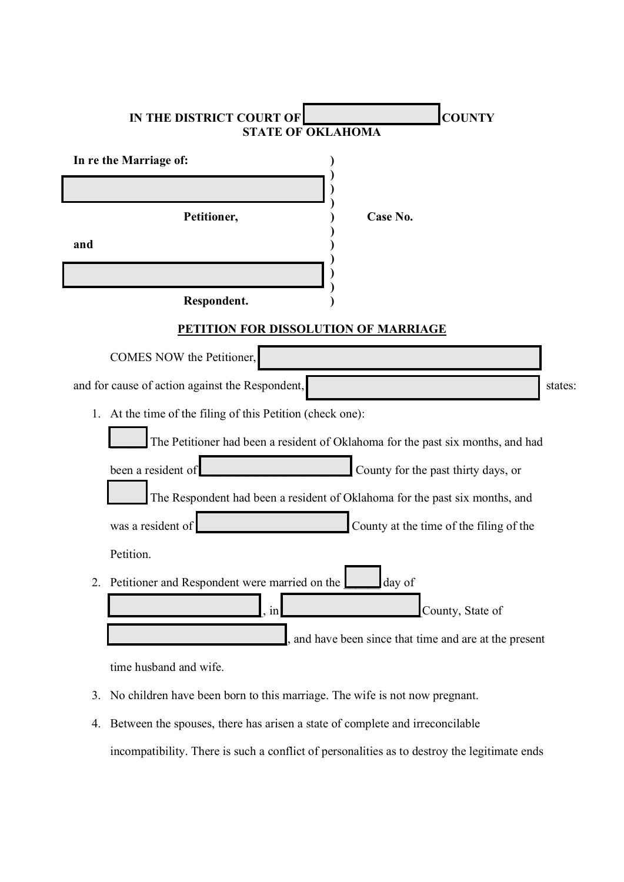| <b>COUNTY</b><br>IN THE DISTRICT COURT OF<br><b>STATE OF OKLAHOMA</b>           |                  |  |  |  |
|---------------------------------------------------------------------------------|------------------|--|--|--|
| In re the Marriage of:                                                          |                  |  |  |  |
|                                                                                 |                  |  |  |  |
| Petitioner,                                                                     | Case No.         |  |  |  |
| and                                                                             |                  |  |  |  |
|                                                                                 |                  |  |  |  |
| Respondent.                                                                     |                  |  |  |  |
| PETITION FOR DISSOLUTION OF MARRIAGE                                            |                  |  |  |  |
| COMES NOW the Petitioner,                                                       |                  |  |  |  |
| and for cause of action against the Respondent,<br>states:                      |                  |  |  |  |
| 1. At the time of the filing of this Petition (check one):                      |                  |  |  |  |
| The Petitioner had been a resident of Oklahoma for the past six months, and had |                  |  |  |  |
| been a resident of<br>County for the past thirty days, or                       |                  |  |  |  |
| The Respondent had been a resident of Oklahoma for the past six months, and     |                  |  |  |  |
| was a resident of<br>County at the time of the filing of the                    |                  |  |  |  |
| Petition.                                                                       |                  |  |  |  |
| 2. Petitioner and Respondent were married on the                                | day of           |  |  |  |
| in                                                                              | County, State of |  |  |  |
| and have been since that time and are at the present                            |                  |  |  |  |
| time husband and wife.                                                          |                  |  |  |  |

- 3. No children have been born to this marriage. The wife is not now pregnant.
- 4. Between the spouses, there has arisen a state of complete and irreconcilable incompatibility. There is such a conflict of personalities as to destroy the legitimate ends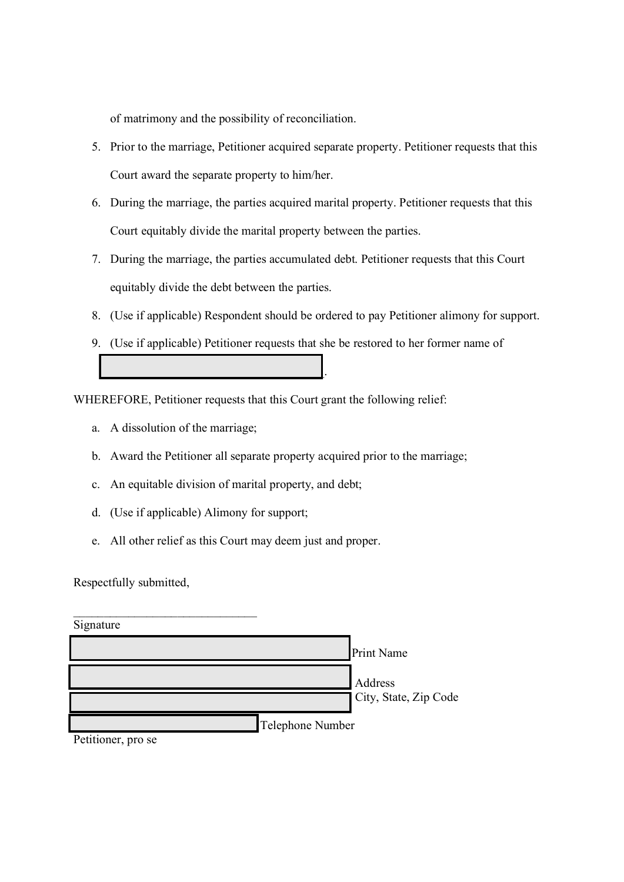of matrimony and the possibility of reconciliation.

- 5. Prior to the marriage, Petitioner acquired separate property. Petitioner requests that this Court award the separate property to him/her.
- 6. During the marriage, the parties acquired marital property. Petitioner requests that this Court equitably divide the marital property between the parties.
- 7. During the marriage, the parties accumulated debt. Petitioner requests that this Court equitably divide the debt between the parties.
- 8. (Use if applicable) Respondent should be ordered to pay Petitioner alimony for support.
- 9. (Use if applicable) Petitioner requests that she be restored to her former name of  $\mathcal{L}_\text{max}$  and  $\mathcal{L}_\text{max}$  and  $\mathcal{L}_\text{max}$  and  $\mathcal{L}_\text{max}$

WHEREFORE, Petitioner requests that this Court grant the following relief:

- a. A dissolution of the marriage;
- b. Award the Petitioner all separate property acquired prior to the marriage;
- c. An equitable division of marital property, and debt;
- d. (Use if applicable) Alimony for support;
- e. All other relief as this Court may deem just and proper.

Respectfully submitted,

| Signature          |                       |
|--------------------|-----------------------|
|                    | <b>Print Name</b>     |
|                    | Address               |
|                    | City, State, Zip Code |
|                    | Telephone Number      |
| Petitioner, pro se |                       |